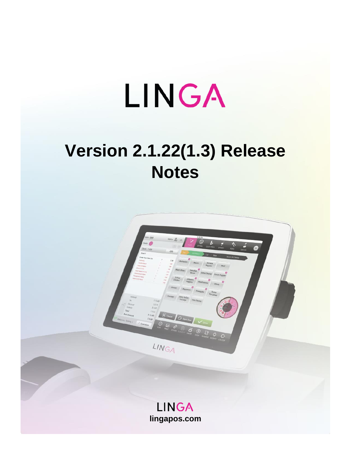# LINGA

## **Version 2.1.22(1.3) Release Notes**

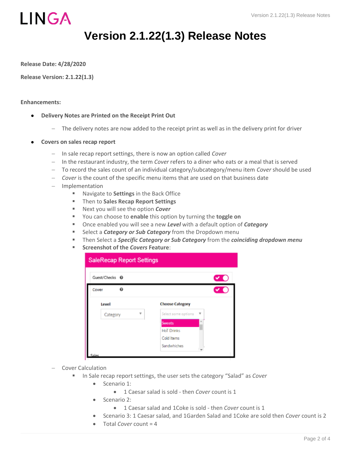

### **Version 2.1.22(1.3) Release Notes**

**Release Date: 4/28/2020**

**Release Version: 2.1.22(1.3)**

### **Enhancements:**

- **Delivery Notes are Printed on the Receipt Print Out**
	- − The delivery notes are now added to the receipt print as well as in the delivery print for driver
- **Covers on sales recap report**
	- − In sale recap report settings, there is now an option called *Cover*
	- − In the restaurant industry, the term *Cover* refers to a diner who eats or a meal that is served
	- − To record the sales count of an individual category/subcategory/menu item *Cover* should be used
	- − *Cover* is the count of the specific menu items that are used on that business date
	- − Implementation
		- Navigate to **Settings** in the Back Office
		- Then to **Sales Recap Report Settings**
		- Next you will see the option *Cover*
		- You can choose to **enable** this option by turning the **toggle on**
		- Once enabled you will see a new **Level** with a default option of *Category*
		- **EXP** Select a **Category or Sub Category** from the Dropdown menu
		- **EXP** Then Select a *Specific Category or Sub Category* from the *coinciding dropdown menu*
		- **Screenshot of the** *Covers* **Feature**:

| <b>SaleRecap Report Settings</b> |                          |
|----------------------------------|--------------------------|
| Guest/Checks <sup>©</sup>        |                          |
| O<br>Cover                       |                          |
| Level                            | <b>Choose Category</b>   |
| v<br>Category                    | Select some options<br>۷ |
|                                  | <b>Sweets</b>            |
|                                  | <b>HoT Drinks</b>        |
|                                  | Cold Items               |
|                                  | Sandwhiches              |
| صاف                              |                          |

- − Cover Calculation
	- In Sale recap report settings, the user sets the category "Salad" as *Cover* 
		- Scenario 1:
			- 1 Caesar salad is sold then *Cover* count is 1
		- Scenario 2:
			- 1 Caesar salad and 1Coke is sold then *Cover* count is 1
		- Scenario 3: 1 Caesar salad, and 1Garden Salad and 1Coke are sold then *Cover* count is 2
		- Total *Cover* count = 4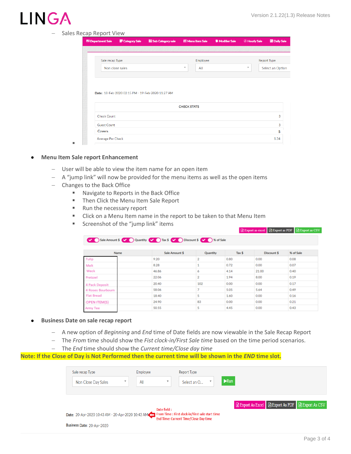## LING

### − Sales Recap Report View

| <b>IE Department Sale</b> | 图 Category Sale | 體 Sub Category sale                               | <b>III</b> Menu Item Sale |          | <b>B</b> Modifier Sale | <b>E</b> Hourly Sale    | <b>Daily Sale</b>  |
|---------------------------|-----------------|---------------------------------------------------|---------------------------|----------|------------------------|-------------------------|--------------------|
|                           |                 |                                                   |                           |          |                        |                         |                    |
| Sale recap Type           |                 |                                                   |                           | Employee |                        |                         | <b>Report Type</b> |
|                           | Non close sales |                                                   | $\overline{\mathbf{v}}$   | All      |                        | $\overline{\mathbf{v}}$ | Select an Option   |
|                           |                 |                                                   |                           |          |                        |                         |                    |
|                           |                 |                                                   |                           |          |                        |                         |                    |
|                           |                 | Date: 18-Feb-2020 02:15 PM - 19-Feb-2020 11:27 AM |                           |          |                        |                         |                    |
|                           |                 |                                                   |                           |          |                        |                         |                    |
|                           |                 |                                                   | <b>CHECK STATS</b>        |          |                        |                         |                    |
| <b>Check Count</b>        |                 |                                                   |                           |          |                        |                         | 3                  |
| <b>Guest Count</b>        |                 |                                                   |                           |          |                        |                         | 3                  |
| Covers                    |                 |                                                   |                           |          |                        |                         | 5                  |

### • **Menu Item Sale report Enhancement**

▪

- − User will be able to view the item name for an open item
- − A "jump link" will now be provided for the menu items as well as the open items

Sale Amount \$ 2 Quantity 2 Tax \$ 2 Discount \$ 2 Sof Sale

- − Changes to the Back Office
	- Navigate to Reports in the Back Office
	- Then Click the Menu Item Sale Report
	- Run the necessary report
	- Click on a Menu Item name in the report to be taken to that Menu Item
	- Screenshot of the "jump link" items

#### Export as excel | A Export as PDF | A Export as CSV

| <b>Name</b>          | Sale Amount \$ | Quantity       | Tax \$ | Discount \$ | % of Sale |
|----------------------|----------------|----------------|--------|-------------|-----------|
| Tulip                | 9.20           | $\overline{2}$ | 0.80   | 0.00        | 0.08      |
| Melt                 | 8.28           |                | 0.72   | 0.00        | 0.07      |
| Weck                 | 46.86          | 6              | 4.14   | 21.00       | 0.40      |
| Pretzzel             | 22.06          | $\overline{2}$ | 1.94   | 8.00        | 0.19      |
| 4 Pack Deposit       | 20.40          | 102            | 0.00   | 0.00        | 0.17      |
| 4 Roses Bourbourn    | 58.06          | <b>T</b>       | 5.05   | 5.64        | 0.49      |
| <b>Flat Bread</b>    | 18.40          | 5              | 1.60   | 0.00        | 0.16      |
| <b>IOPEN ITEM(S)</b> | 24.90          | 83             | 0.00   | 0.00        | 0.21      |
| Army Tee             | 50.55          | 5              | 4.45   | 0.00        | 0.43      |

#### • **Business Date on sale recap report**

- − A new option of *Beginning* and *End* time of Date fields are now viewable in the Sale Recap Report
- − The *From* time should show the *Fist clock-in/First Sale time* based on the time period scenarios.
- − The *End* time should show the *Current time/Close day time*

**Note: If the Close of Day is Not Performed then the current time will be shown in the** *END* **time slot.**

| Sale recap Type                                                                                   |                         | Employee                         | Report Type                           |                           |                                      |                       |
|---------------------------------------------------------------------------------------------------|-------------------------|----------------------------------|---------------------------------------|---------------------------|--------------------------------------|-----------------------|
| Non Close Day Sales                                                                               | $\overline{\mathbf{v}}$ | $\boldsymbol{\mathrm{v}}$<br>All | Select an O                           | $\blacktriangleright$ Run |                                      |                       |
|                                                                                                   |                         |                                  |                                       |                           |                                      |                       |
|                                                                                                   |                         |                                  |                                       |                           |                                      |                       |
|                                                                                                   |                         |                                  |                                       |                           | Export As Excel <b>Export As PDF</b> | <b>BExport As CSV</b> |
| Date: 20-Apr-2020 10:43 AM - 20-Apr-2020 10:43 AM From Time : First dock-in/First sale start time |                         | Date field :                     | End Time: Current Time/Close Day time |                           |                                      |                       |